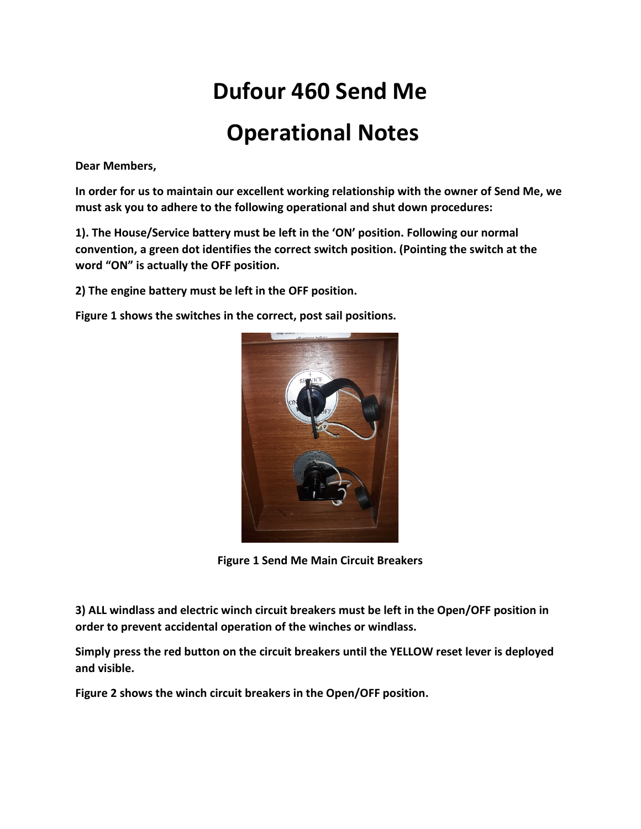# **Dufour 460 Send Me Operational Notes**

**Dear Members,** 

**In order for us to maintain our excellent working relationship with the owner of Send Me, we must ask you to adhere to the following operational and shut down procedures:**

**1). The House/Service battery must be left in the 'ON' position. Following our normal convention, a green dot identifies the correct switch position. (Pointing the switch at the word "ON" is actually the OFF position.** 

**2) The engine battery must be left in the OFF position.** 

**Figure 1 shows the switches in the correct, post sail positions.**



**Figure 1 Send Me Main Circuit Breakers** 

**3) ALL windlass and electric winch circuit breakers must be left in the Open/OFF position in order to prevent accidental operation of the winches or windlass.**

**Simply press the red button on the circuit breakers until the YELLOW reset lever is deployed and visible.** 

**Figure 2 shows the winch circuit breakers in the Open/OFF position.**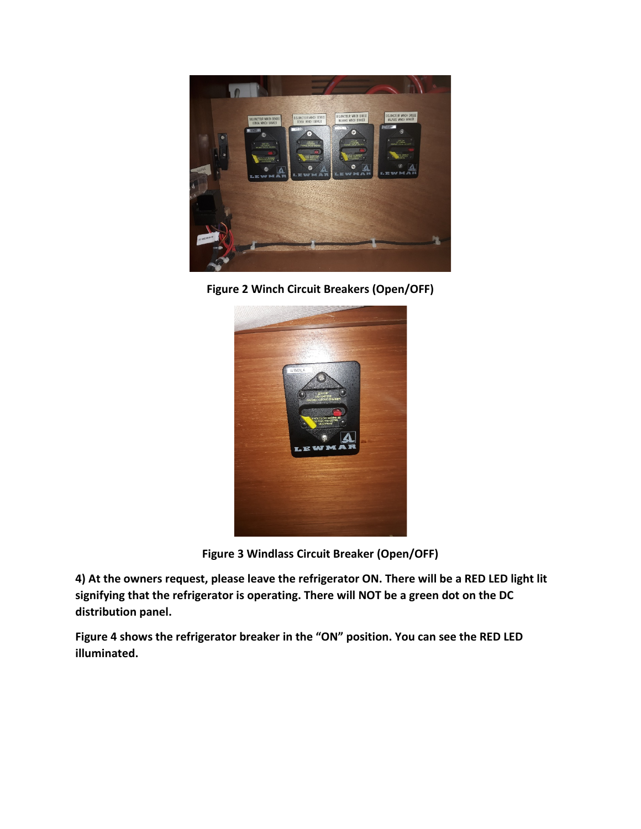

**Figure 2 Winch Circuit Breakers (Open/OFF)**



**Figure 3 Windlass Circuit Breaker (Open/OFF)**

**4) At the owners request, please leave the refrigerator ON. There will be a RED LED light lit signifying that the refrigerator is operating. There will NOT be a green dot on the DC distribution panel.**

**Figure 4 shows the refrigerator breaker in the "ON" position. You can see the RED LED illuminated.**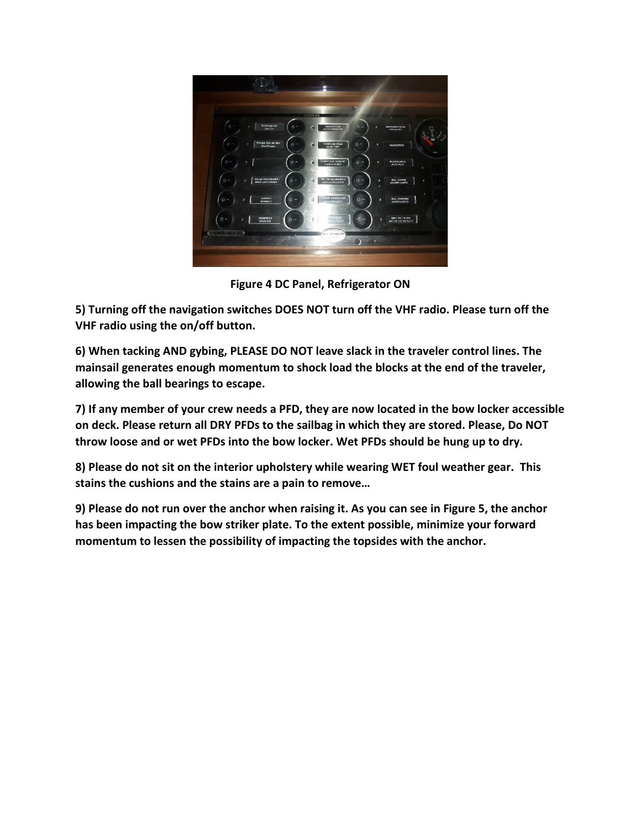

**Figure 4 DC Panel, Refrigerator ON**

**5) Turning off the navigation switches DOES NOT turn off the VHF radio. Please turn off the VHF radio using the on/off button.**

**6) When tacking AND gybing, PLEASE DO NOT leave slack in the traveler control lines. The mainsail generates enough momentum to shock load the blocks at the end of the traveler, allowing the ball bearings to escape.** 

**7) If any member of your crew needs a PFD, they are now located in the bow locker accessible on deck. Please return all DRY PFDs to the sailbag in which they are stored. Please, Do NOT throw loose and or wet PFDs into the bow locker. Wet PFDs should be hung up to dry.**

**8) Please do not sit on the interior upholstery while wearing WET foul weather gear. This stains the cushions and the stains are a pain to remove…**

**9) Please do not run over the anchor when raising it. As you can see in Figure 5, the anchor has been impacting the bow striker plate. To the extent possible, minimize your forward momentum to lessen the possibility of impacting the topsides with the anchor.**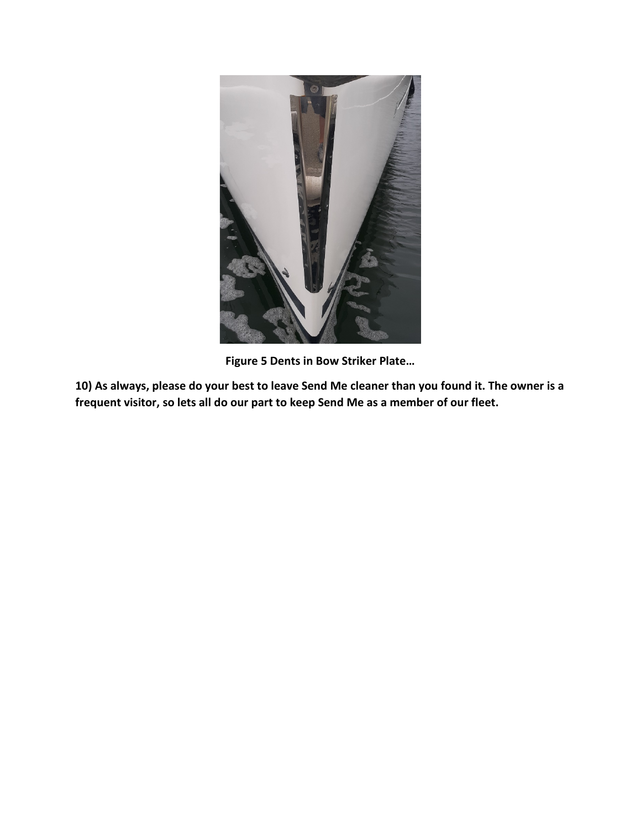

**Figure 5 Dents in Bow Striker Plate…**

**10) As always, please do your best to leave Send Me cleaner than you found it. The owner is a frequent visitor, so lets all do our part to keep Send Me as a member of our fleet.**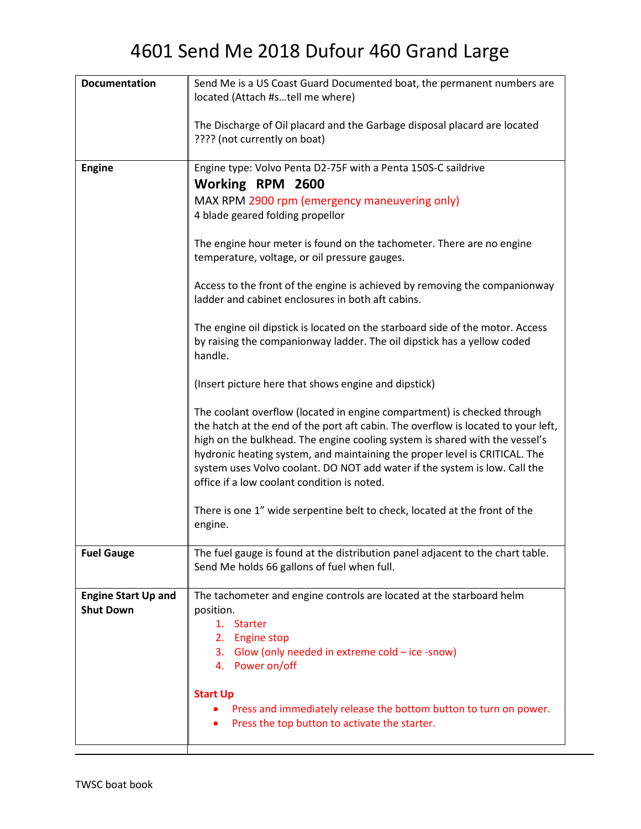| <b>Documentation</b>                           | Send Me is a US Coast Guard Documented boat, the permanent numbers are<br>located (Attach #stell me where)                                                                                                                                                                                                                                                                                                                                             |
|------------------------------------------------|--------------------------------------------------------------------------------------------------------------------------------------------------------------------------------------------------------------------------------------------------------------------------------------------------------------------------------------------------------------------------------------------------------------------------------------------------------|
|                                                |                                                                                                                                                                                                                                                                                                                                                                                                                                                        |
|                                                | The Discharge of Oil placard and the Garbage disposal placard are located                                                                                                                                                                                                                                                                                                                                                                              |
|                                                | ???? (not currently on boat)                                                                                                                                                                                                                                                                                                                                                                                                                           |
| <b>Engine</b>                                  | Engine type: Volvo Penta D2-75F with a Penta 150S-C saildrive                                                                                                                                                                                                                                                                                                                                                                                          |
|                                                | Working RPM 2600                                                                                                                                                                                                                                                                                                                                                                                                                                       |
|                                                | MAX RPM 2900 rpm (emergency maneuvering only)                                                                                                                                                                                                                                                                                                                                                                                                          |
|                                                | 4 blade geared folding propellor                                                                                                                                                                                                                                                                                                                                                                                                                       |
|                                                | The engine hour meter is found on the tachometer. There are no engine<br>temperature, voltage, or oil pressure gauges.                                                                                                                                                                                                                                                                                                                                 |
|                                                | Access to the front of the engine is achieved by removing the companionway<br>ladder and cabinet enclosures in both aft cabins.                                                                                                                                                                                                                                                                                                                        |
|                                                | The engine oil dipstick is located on the starboard side of the motor. Access<br>by raising the companionway ladder. The oil dipstick has a yellow coded<br>handle.                                                                                                                                                                                                                                                                                    |
|                                                | (Insert picture here that shows engine and dipstick)                                                                                                                                                                                                                                                                                                                                                                                                   |
|                                                | The coolant overflow (located in engine compartment) is checked through<br>the hatch at the end of the port aft cabin. The overflow is located to your left,<br>high on the bulkhead. The engine cooling system is shared with the vessel's<br>hydronic heating system, and maintaining the proper level is CRITICAL. The<br>system uses Volvo coolant. DO NOT add water if the system is low. Call the<br>office if a low coolant condition is noted. |
|                                                | There is one 1" wide serpentine belt to check, located at the front of the<br>engine.                                                                                                                                                                                                                                                                                                                                                                  |
| <b>Fuel Gauge</b>                              | The fuel gauge is found at the distribution panel adjacent to the chart table.<br>Send Me holds 66 gallons of fuel when full.                                                                                                                                                                                                                                                                                                                          |
| <b>Engine Start Up and</b><br><b>Shut Down</b> | The tachometer and engine controls are located at the starboard helm<br>position.<br>1. Starter<br>2.<br><b>Engine stop</b><br>3. Glow (only needed in extreme cold - ice -snow)<br>4. Power on/off                                                                                                                                                                                                                                                    |
|                                                | <b>Start Up</b><br>Press and immediately release the bottom button to turn on power.<br>Press the top button to activate the starter.                                                                                                                                                                                                                                                                                                                  |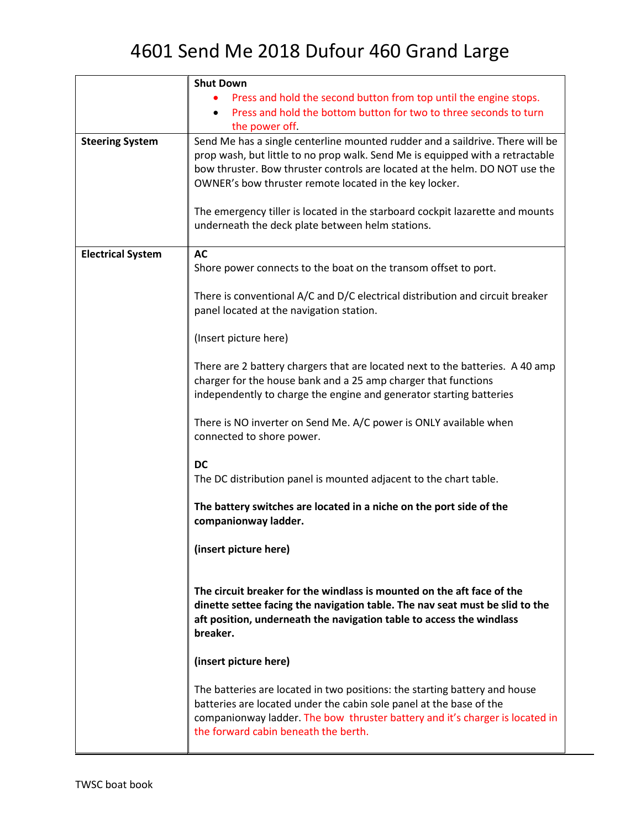|                          | <b>Shut Down</b>                                                                                                                                                                                                                                                                                        |
|--------------------------|---------------------------------------------------------------------------------------------------------------------------------------------------------------------------------------------------------------------------------------------------------------------------------------------------------|
|                          | Press and hold the second button from top until the engine stops.                                                                                                                                                                                                                                       |
|                          | Press and hold the bottom button for two to three seconds to turn                                                                                                                                                                                                                                       |
|                          | the power off.                                                                                                                                                                                                                                                                                          |
| <b>Steering System</b>   | Send Me has a single centerline mounted rudder and a saildrive. There will be<br>prop wash, but little to no prop walk. Send Me is equipped with a retractable<br>bow thruster. Bow thruster controls are located at the helm. DO NOT use the<br>OWNER's bow thruster remote located in the key locker. |
|                          | The emergency tiller is located in the starboard cockpit lazarette and mounts<br>underneath the deck plate between helm stations.                                                                                                                                                                       |
| <b>Electrical System</b> | <b>AC</b>                                                                                                                                                                                                                                                                                               |
|                          | Shore power connects to the boat on the transom offset to port.                                                                                                                                                                                                                                         |
|                          | There is conventional A/C and D/C electrical distribution and circuit breaker<br>panel located at the navigation station.                                                                                                                                                                               |
|                          | (Insert picture here)                                                                                                                                                                                                                                                                                   |
|                          | There are 2 battery chargers that are located next to the batteries. A 40 amp<br>charger for the house bank and a 25 amp charger that functions<br>independently to charge the engine and generator starting batteries                                                                                  |
|                          | There is NO inverter on Send Me. A/C power is ONLY available when<br>connected to shore power.                                                                                                                                                                                                          |
|                          |                                                                                                                                                                                                                                                                                                         |
|                          | <b>DC</b><br>The DC distribution panel is mounted adjacent to the chart table.                                                                                                                                                                                                                          |
|                          | The battery switches are located in a niche on the port side of the<br>companionway ladder.                                                                                                                                                                                                             |
|                          | (insert picture here)                                                                                                                                                                                                                                                                                   |
|                          | The circuit breaker for the windlass is mounted on the aft face of the<br>dinette settee facing the navigation table. The nav seat must be slid to the<br>aft position, underneath the navigation table to access the windlass<br>breaker.                                                              |
|                          | (insert picture here)                                                                                                                                                                                                                                                                                   |
|                          | The batteries are located in two positions: the starting battery and house<br>batteries are located under the cabin sole panel at the base of the<br>companionway ladder. The bow thruster battery and it's charger is located in<br>the forward cabin beneath the berth.                               |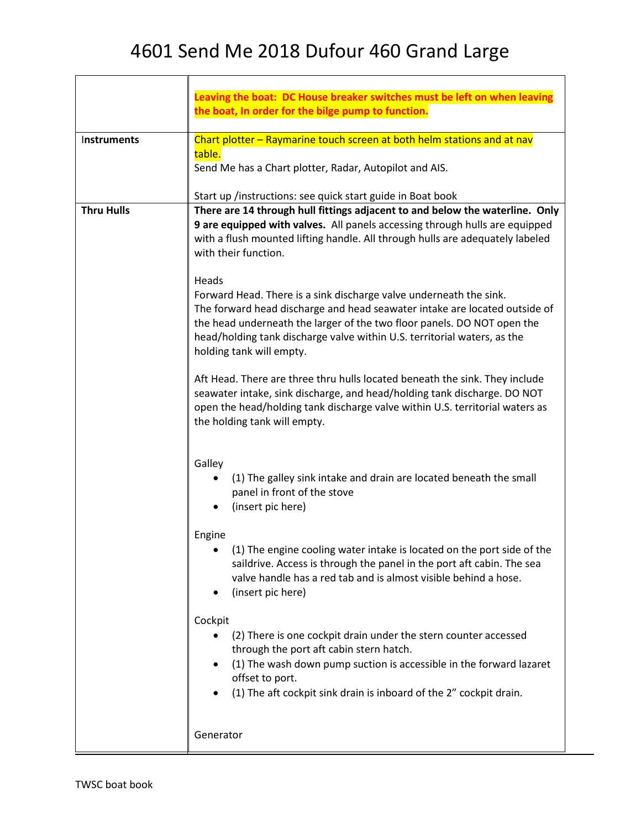|                   | Leaving the boat: DC House breaker switches must be left on when leaving<br>the boat, In order for the bilge pump to function.                                                                                                                                                                                                               |
|-------------------|----------------------------------------------------------------------------------------------------------------------------------------------------------------------------------------------------------------------------------------------------------------------------------------------------------------------------------------------|
| Instruments       | Chart plotter – Raymarine touch screen at both helm stations and at nav                                                                                                                                                                                                                                                                      |
|                   | table.<br>Send Me has a Chart plotter, Radar, Autopilot and AIS.                                                                                                                                                                                                                                                                             |
|                   | Start up /instructions: see quick start guide in Boat book                                                                                                                                                                                                                                                                                   |
| <b>Thru Hulls</b> | There are 14 through hull fittings adjacent to and below the waterline. Only<br>9 are equipped with valves. All panels accessing through hulls are equipped<br>with a flush mounted lifting handle. All through hulls are adequately labeled<br>with their function.                                                                         |
|                   | Heads<br>Forward Head. There is a sink discharge valve underneath the sink.<br>The forward head discharge and head seawater intake are located outside of<br>the head underneath the larger of the two floor panels. DO NOT open the<br>head/holding tank discharge valve within U.S. territorial waters, as the<br>holding tank will empty. |
|                   | Aft Head. There are three thru hulls located beneath the sink. They include<br>seawater intake, sink discharge, and head/holding tank discharge. DO NOT<br>open the head/holding tank discharge valve within U.S. territorial waters as<br>the holding tank will empty.                                                                      |
|                   | Galley<br>(1) The galley sink intake and drain are located beneath the small<br>panel in front of the stove<br>(insert pic here)                                                                                                                                                                                                             |
|                   | Engine<br>(1) The engine cooling water intake is located on the port side of the<br>saildrive. Access is through the panel in the port aft cabin. The sea<br>valve handle has a red tab and is almost visible behind a hose.<br>(insert pic here)                                                                                            |
|                   | Cockpit<br>(2) There is one cockpit drain under the stern counter accessed<br>through the port aft cabin stern hatch.<br>(1) The wash down pump suction is accessible in the forward lazaret<br>offset to port.<br>(1) The aft cockpit sink drain is inboard of the 2" cockpit drain.                                                        |
|                   | Generator                                                                                                                                                                                                                                                                                                                                    |

Г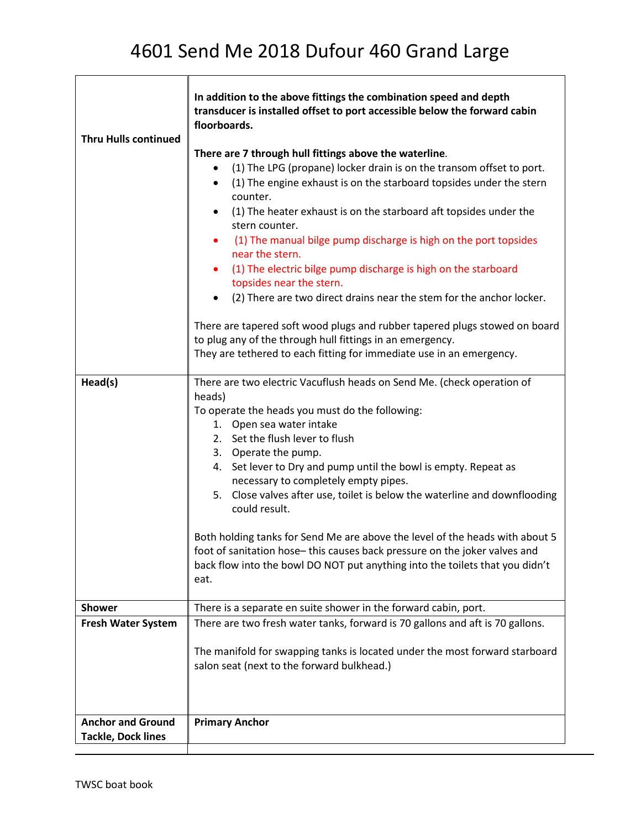| <b>Thru Hulls continued</b>                           | In addition to the above fittings the combination speed and depth<br>transducer is installed offset to port accessible below the forward cabin<br>floorboards.<br>There are 7 through hull fittings above the waterline.<br>(1) The LPG (propane) locker drain is on the transom offset to port.<br>$\bullet$<br>(1) The engine exhaust is on the starboard topsides under the stern<br>$\bullet$<br>counter.<br>(1) The heater exhaust is on the starboard aft topsides under the<br>$\bullet$<br>stern counter.<br>(1) The manual bilge pump discharge is high on the port topsides<br>$\bullet$<br>near the stern.<br>(1) The electric bilge pump discharge is high on the starboard<br>$\bullet$<br>topsides near the stern.<br>(2) There are two direct drains near the stem for the anchor locker.<br>$\bullet$<br>There are tapered soft wood plugs and rubber tapered plugs stowed on board<br>to plug any of the through hull fittings in an emergency.<br>They are tethered to each fitting for immediate use in an emergency. |
|-------------------------------------------------------|------------------------------------------------------------------------------------------------------------------------------------------------------------------------------------------------------------------------------------------------------------------------------------------------------------------------------------------------------------------------------------------------------------------------------------------------------------------------------------------------------------------------------------------------------------------------------------------------------------------------------------------------------------------------------------------------------------------------------------------------------------------------------------------------------------------------------------------------------------------------------------------------------------------------------------------------------------------------------------------------------------------------------------------|
| Head(s)                                               | There are two electric Vacuflush heads on Send Me. (check operation of<br>heads)<br>To operate the heads you must do the following:<br>1. Open sea water intake<br>2. Set the flush lever to flush<br>3. Operate the pump.<br>Set lever to Dry and pump until the bowl is empty. Repeat as<br>4.<br>necessary to completely empty pipes.<br>5. Close valves after use, toilet is below the waterline and downflooding<br>could result.                                                                                                                                                                                                                                                                                                                                                                                                                                                                                                                                                                                                   |
|                                                       | Both holding tanks for Send Me are above the level of the heads with about 5<br>foot of sanitation hose-this causes back pressure on the joker valves and<br>back flow into the bowl DO NOT put anything into the toilets that you didn't<br>eat.                                                                                                                                                                                                                                                                                                                                                                                                                                                                                                                                                                                                                                                                                                                                                                                        |
| <b>Shower</b>                                         | There is a separate en suite shower in the forward cabin, port.                                                                                                                                                                                                                                                                                                                                                                                                                                                                                                                                                                                                                                                                                                                                                                                                                                                                                                                                                                          |
| <b>Fresh Water System</b>                             | There are two fresh water tanks, forward is 70 gallons and aft is 70 gallons.                                                                                                                                                                                                                                                                                                                                                                                                                                                                                                                                                                                                                                                                                                                                                                                                                                                                                                                                                            |
|                                                       | The manifold for swapping tanks is located under the most forward starboard<br>salon seat (next to the forward bulkhead.)                                                                                                                                                                                                                                                                                                                                                                                                                                                                                                                                                                                                                                                                                                                                                                                                                                                                                                                |
| <b>Anchor and Ground</b><br><b>Tackle, Dock lines</b> | <b>Primary Anchor</b>                                                                                                                                                                                                                                                                                                                                                                                                                                                                                                                                                                                                                                                                                                                                                                                                                                                                                                                                                                                                                    |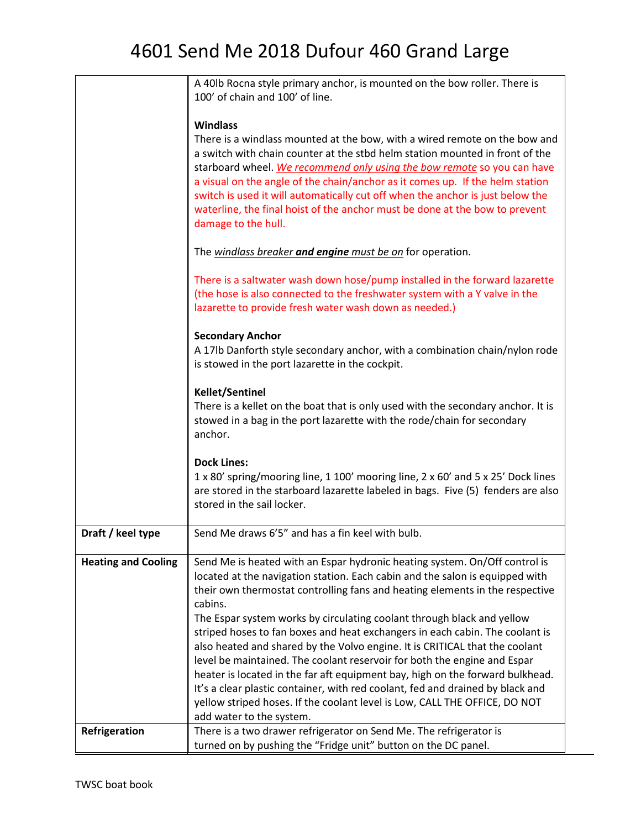|                            | A 40lb Rocna style primary anchor, is mounted on the bow roller. There is<br>100' of chain and 100' of line.                                                                                                                                                                                                                                                                                                                                                                                                                                                                                                                                                                                                                                                                                                                |
|----------------------------|-----------------------------------------------------------------------------------------------------------------------------------------------------------------------------------------------------------------------------------------------------------------------------------------------------------------------------------------------------------------------------------------------------------------------------------------------------------------------------------------------------------------------------------------------------------------------------------------------------------------------------------------------------------------------------------------------------------------------------------------------------------------------------------------------------------------------------|
|                            |                                                                                                                                                                                                                                                                                                                                                                                                                                                                                                                                                                                                                                                                                                                                                                                                                             |
|                            | <b>Windlass</b><br>There is a windlass mounted at the bow, with a wired remote on the bow and<br>a switch with chain counter at the stbd helm station mounted in front of the<br>starboard wheel. We recommend only using the bow remote so you can have<br>a visual on the angle of the chain/anchor as it comes up. If the helm station<br>switch is used it will automatically cut off when the anchor is just below the<br>waterline, the final hoist of the anchor must be done at the bow to prevent<br>damage to the hull.                                                                                                                                                                                                                                                                                           |
|                            | The windlass breaker and engine must be on for operation.                                                                                                                                                                                                                                                                                                                                                                                                                                                                                                                                                                                                                                                                                                                                                                   |
|                            | There is a saltwater wash down hose/pump installed in the forward lazarette<br>(the hose is also connected to the freshwater system with a Y valve in the<br>lazarette to provide fresh water wash down as needed.)                                                                                                                                                                                                                                                                                                                                                                                                                                                                                                                                                                                                         |
|                            | <b>Secondary Anchor</b><br>A 17lb Danforth style secondary anchor, with a combination chain/nylon rode<br>is stowed in the port lazarette in the cockpit.                                                                                                                                                                                                                                                                                                                                                                                                                                                                                                                                                                                                                                                                   |
|                            | <b>Kellet/Sentinel</b><br>There is a kellet on the boat that is only used with the secondary anchor. It is<br>stowed in a bag in the port lazarette with the rode/chain for secondary<br>anchor.                                                                                                                                                                                                                                                                                                                                                                                                                                                                                                                                                                                                                            |
|                            | <b>Dock Lines:</b><br>1 x 80' spring/mooring line, 1 100' mooring line, 2 x 60' and 5 x 25' Dock lines<br>are stored in the starboard lazarette labeled in bags. Five (5) fenders are also<br>stored in the sail locker.                                                                                                                                                                                                                                                                                                                                                                                                                                                                                                                                                                                                    |
| Draft / keel type          | Send Me draws 6'5" and has a fin keel with bulb.                                                                                                                                                                                                                                                                                                                                                                                                                                                                                                                                                                                                                                                                                                                                                                            |
| <b>Heating and Cooling</b> | Send Me is heated with an Espar hydronic heating system. On/Off control is<br>located at the navigation station. Each cabin and the salon is equipped with<br>their own thermostat controlling fans and heating elements in the respective<br>cabins.<br>The Espar system works by circulating coolant through black and yellow<br>striped hoses to fan boxes and heat exchangers in each cabin. The coolant is<br>also heated and shared by the Volvo engine. It is CRITICAL that the coolant<br>level be maintained. The coolant reservoir for both the engine and Espar<br>heater is located in the far aft equipment bay, high on the forward bulkhead.<br>It's a clear plastic container, with red coolant, fed and drained by black and<br>yellow striped hoses. If the coolant level is Low, CALL THE OFFICE, DO NOT |
| Refrigeration              | add water to the system.<br>There is a two drawer refrigerator on Send Me. The refrigerator is                                                                                                                                                                                                                                                                                                                                                                                                                                                                                                                                                                                                                                                                                                                              |
|                            | turned on by pushing the "Fridge unit" button on the DC panel.                                                                                                                                                                                                                                                                                                                                                                                                                                                                                                                                                                                                                                                                                                                                                              |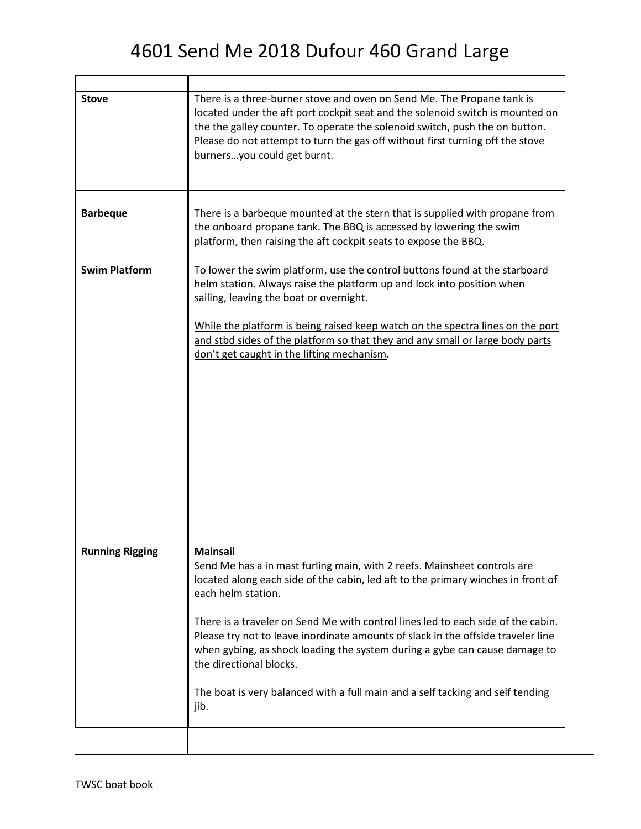| There is a three-burner stove and oven on Send Me. The Propane tank is                                                                                                                                                                                                                                                                                                                                                                                                                                                                                                           |
|----------------------------------------------------------------------------------------------------------------------------------------------------------------------------------------------------------------------------------------------------------------------------------------------------------------------------------------------------------------------------------------------------------------------------------------------------------------------------------------------------------------------------------------------------------------------------------|
| located under the aft port cockpit seat and the solenoid switch is mounted on<br>the the galley counter. To operate the solenoid switch, push the on button.<br>Please do not attempt to turn the gas off without first turning off the stove<br>burnersyou could get burnt.                                                                                                                                                                                                                                                                                                     |
|                                                                                                                                                                                                                                                                                                                                                                                                                                                                                                                                                                                  |
| There is a barbeque mounted at the stern that is supplied with propane from<br>the onboard propane tank. The BBQ is accessed by lowering the swim<br>platform, then raising the aft cockpit seats to expose the BBQ.                                                                                                                                                                                                                                                                                                                                                             |
| To lower the swim platform, use the control buttons found at the starboard<br>helm station. Always raise the platform up and lock into position when<br>sailing, leaving the boat or overnight.<br>While the platform is being raised keep watch on the spectra lines on the port<br>and stbd sides of the platform so that they and any small or large body parts<br>don't get caught in the lifting mechanism.                                                                                                                                                                 |
| <b>Mainsail</b><br>Send Me has a in mast furling main, with 2 reefs. Mainsheet controls are<br>located along each side of the cabin, led aft to the primary winches in front of<br>each helm station.<br>There is a traveler on Send Me with control lines led to each side of the cabin.<br>Please try not to leave inordinate amounts of slack in the offside traveler line<br>when gybing, as shock loading the system during a gybe can cause damage to<br>the directional blocks.<br>The boat is very balanced with a full main and a self tacking and self tending<br>jib. |
|                                                                                                                                                                                                                                                                                                                                                                                                                                                                                                                                                                                  |

Г